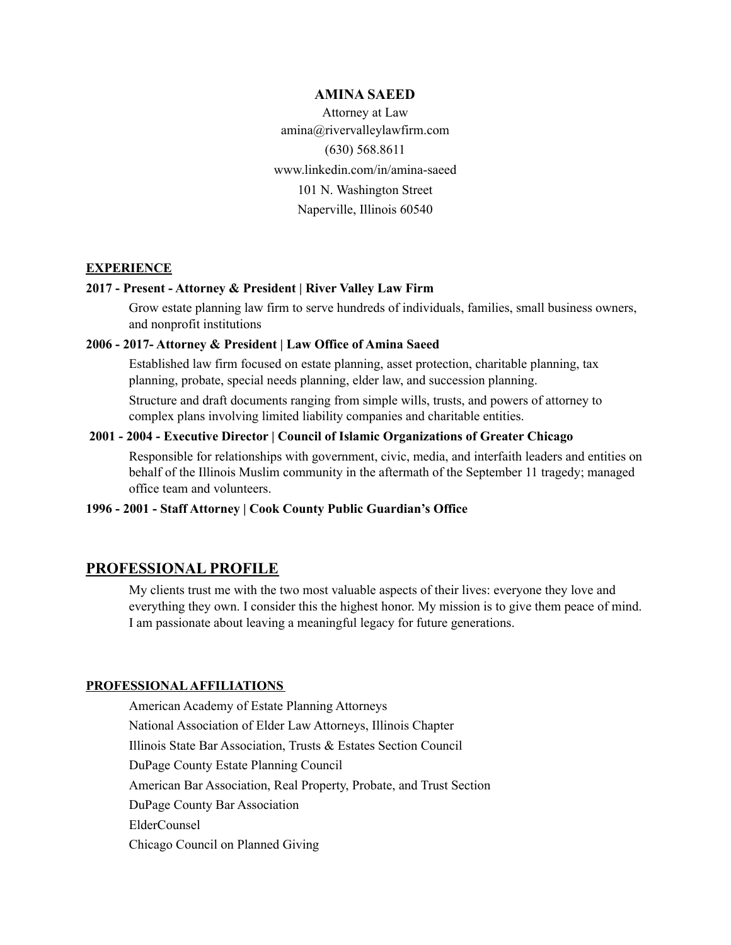## **AMINA SAEED**

Attorney at Law amina@rivervalleylawfirm.com (630) 568.8611 www.linkedin.com/in/amina-saeed 101 N. Washington Street Naperville, Illinois 60540

#### **EXPERIENCE**

# **2017 - Present - Attorney & President | River Valley Law Firm**

Grow estate planning law firm to serve hundreds of individuals, families, small business owners, and nonprofit institutions

## **2006 - 2017- Attorney & President | Law Office of Amina Saeed**

Established law firm focused on estate planning, asset protection, charitable planning, tax planning, probate, special needs planning, elder law, and succession planning.

Structure and draft documents ranging from simple wills, trusts, and powers of attorney to complex plans involving limited liability companies and charitable entities.

### **2001 - 2004 - Executive Director | Council of Islamic Organizations of Greater Chicago**

Responsible for relationships with government, civic, media, and interfaith leaders and entities on behalf of the Illinois Muslim community in the aftermath of the September 11 tragedy; managed office team and volunteers.

# **1996 - 2001 - Staff Attorney | Cook County Public Guardian's Office**

## **PROFESSIONAL PROFILE**

My clients trust me with the two most valuable aspects of their lives: everyone they love and everything they own. I consider this the highest honor. My mission is to give them peace of mind. I am passionate about leaving a meaningful legacy for future generations.

## **PROFESSIONALAFFILIATIONS**

American Academy of Estate Planning Attorneys National Association of Elder Law Attorneys, Illinois Chapter Illinois State Bar Association, Trusts & Estates Section Council DuPage County Estate Planning Council American Bar Association, Real Property, Probate, and Trust Section DuPage County Bar Association ElderCounsel Chicago Council on Planned Giving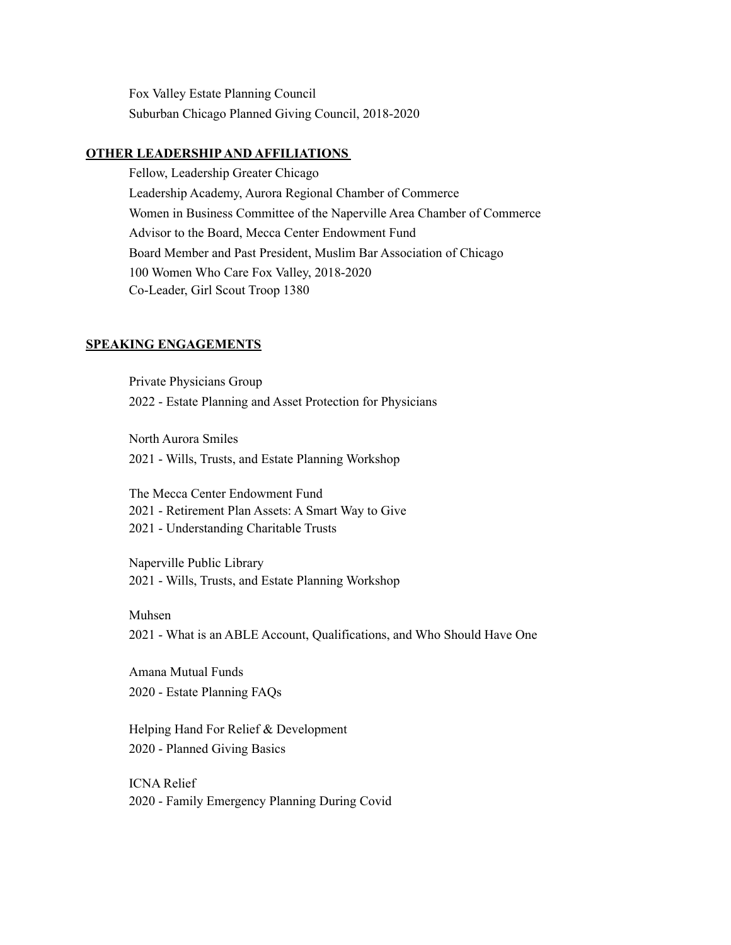Fox Valley Estate Planning Council Suburban Chicago Planned Giving Council, 2018-2020

## **OTHER LEADERSHIPAND AFFILIATIONS**

Fellow, Leadership Greater Chicago Leadership Academy, Aurora Regional Chamber of Commerce Women in Business Committee of the Naperville Area Chamber of Commerce Advisor to the Board, Mecca Center Endowment Fund Board Member and Past President, Muslim Bar Association of Chicago 100 Women Who Care Fox Valley, 2018-2020 Co-Leader, Girl Scout Troop 1380

#### **SPEAKING ENGAGEMENTS**

Private Physicians Group 2022 - Estate Planning and Asset Protection for Physicians

North Aurora Smiles 2021 - Wills, Trusts, and Estate Planning Workshop

The Mecca Center Endowment Fund 2021 - Retirement Plan Assets: A Smart Way to Give 2021 - Understanding Charitable Trusts

Naperville Public Library 2021 - Wills, Trusts, and Estate Planning Workshop

#### Muhsen

2021 - What is an ABLE Account, Qualifications, and Who Should Have One

Amana Mutual Funds 2020 - Estate Planning FAQs

Helping Hand For Relief & Development 2020 - Planned Giving Basics

ICNA Relief 2020 - Family Emergency Planning During Covid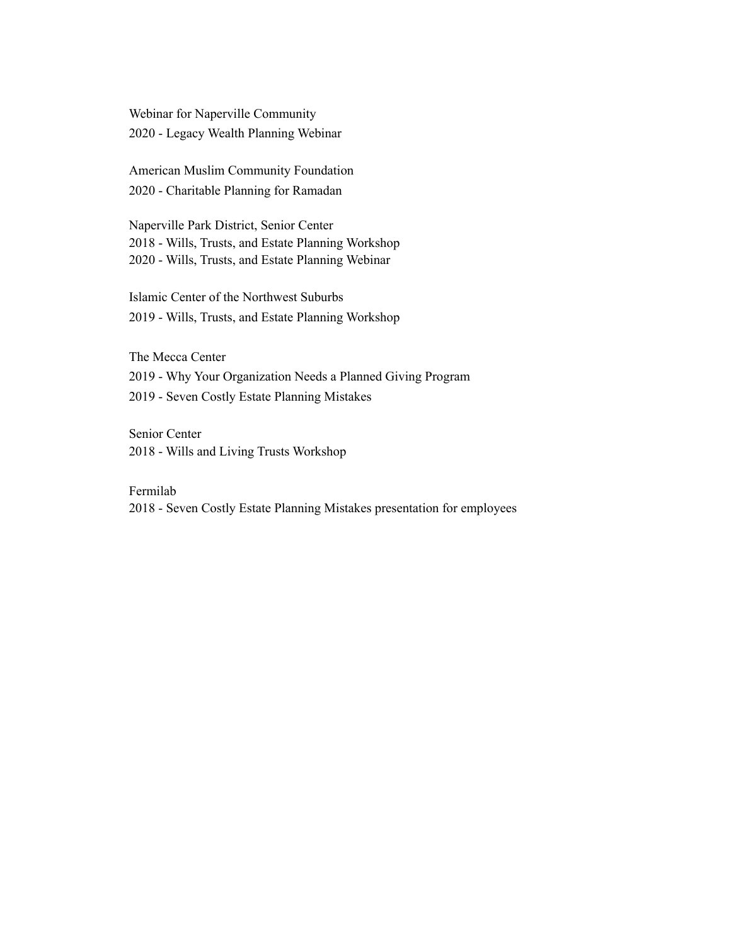Webinar for Naperville Community 2020 - Legacy Wealth Planning Webinar

American Muslim Community Foundation 2020 - Charitable Planning for Ramadan

Naperville Park District, Senior Center 2018 - Wills, Trusts, and Estate Planning Workshop 2020 - Wills, Trusts, and Estate Planning Webinar

Islamic Center of the Northwest Suburbs 2019 - Wills, Trusts, and Estate Planning Workshop

The Mecca Center 2019 - Why Your Organization Needs a Planned Giving Program 2019 - Seven Costly Estate Planning Mistakes

Senior Center 2018 - Wills and Living Trusts Workshop

Fermilab

2018 - Seven Costly Estate Planning Mistakes presentation for employees